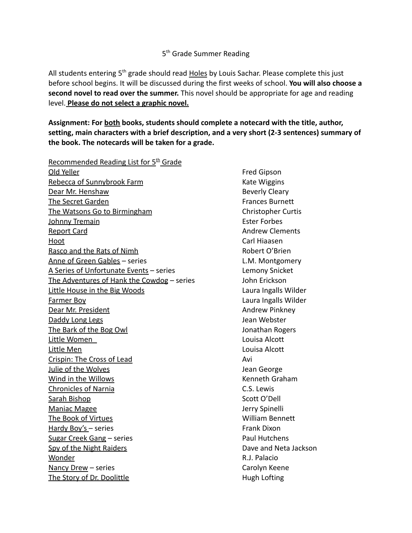## 5<sup>th</sup> Grade Summer Reading

All students entering  $5<sup>th</sup>$  grade should read Holes by Louis Sachar. Please complete this just before school begins. It will be discussed during the first weeks of school. **You will also choose a second novel to read over the summer.** This novel should be appropriate for age and reading level. **Please do not select a graphic novel.**

**Assignment: For both books, students should complete a notecard with the title, author, setting, main characters with a brief description, and a very short (2-3 sentences) summary of the book. The notecards will be taken for a grade.**

Recommended Reading List for  $5<sup>th</sup>$  Grade Old Yeller **Fred Gipson** Rebecca of Sunnybrook Farm Kate Wiggins Dear Mr. Henshaw Beverly Cleary The Secret Garden Frances Burnett The Watsons Go to Birmingham Christopher Curtis Johnny Tremain **Ester Forbes** Ester Forbes Report Card **Andrew Clements Andrew Clements** Hoot Carl Hiaasen Rasco and the Rats of Nimh Robert O'Brien Anne of Green Gables – series L.M. Montgomery A Series of Unfortunate Events – series Lemony Snicket The Adventures of Hank the Cowdog – series John Erickson Little House in the Big Woods **Little House in the Big Woods** Laura Ingalls Wilder Farmer Boy Laura Ingalls Wilder Dear Mr. President Andrew Pinkney Daddy Long Legs **Daddy Long Legs** Jean Webster The Bark of the Bog Owl **The Bark of the Bog Owl** Jonathan Rogers Little Women Louisa Alcott Little Men Louisa Alcott Crispin: The Cross of Lead Avi **Julie of the Wolves Access 20 August 20 August 20 August 20 August 20 August 20 August 20 August 20 August 20 August 20 August 20 August 20 August 20 August 20 August 20 August 20 August 20 August 20 August 20 August 20** Wind in the Willows **Kenneth Graham** Chronicles of Narnia C.S. Lewis Sarah Bishop Scott O'Dell Maniac Magee **Jerry Spinelli** The Book of Virtues William Bennett Hardy Boy's – series Frank Dixon Sugar Creek Gang – series Paul Hutchens Spy of the Night Raiders **Dave and Neta Jackson** Wonder **R.J. Palacio** Nancy Drew – series Carolyn Keene The Story of Dr. Doolittle **Hugh Lofting**